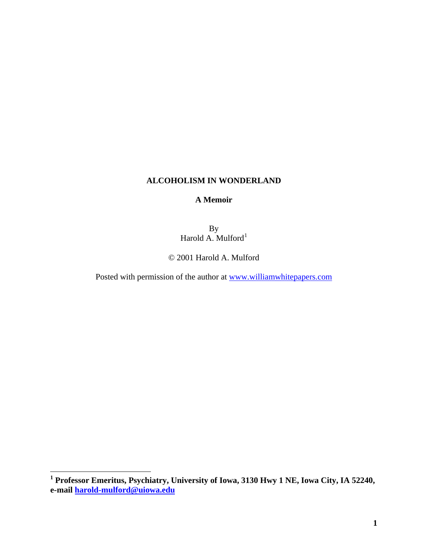# **ALCOHOLISM IN WONDERLAND**

## **A Memoir**

By Harold A. Mulford $<sup>1</sup>$  $<sup>1</sup>$  $<sup>1</sup>$ </sup>

© 2001 Harold A. Mulford

Posted with permission of the author at [www.williamwhitepapers.com](http://www.williamwhitepapers.com/)

<span id="page-0-0"></span> **1 Professor Emeritus, Psychiatry, University of Iowa, 3130 Hwy 1 NE, Iowa City, IA 52240, e-mail [harold-mulford@uiowa.edu](mailto:harold-mulford@uiowa.edu)**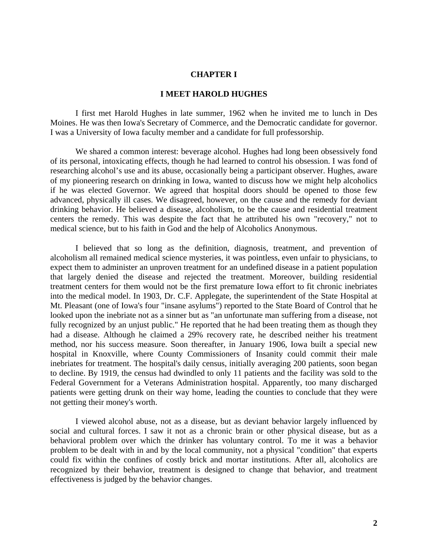### **CHAPTER I**

## **I MEET HAROLD HUGHES**

I first met Harold Hughes in late summer, 1962 when he invited me to lunch in Des Moines. He was then Iowa's Secretary of Commerce, and the Democratic candidate for governor. I was a University of Iowa faculty member and a candidate for full professorship.

We shared a common interest: beverage alcohol. Hughes had long been obsessively fond of its personal, intoxicating effects, though he had learned to control his obsession. I was fond of researching alcohol's use and its abuse, occasionally being a participant observer. Hughes, aware of my pioneering research on drinking in Iowa, wanted to discuss how we might help alcoholics if he was elected Governor. We agreed that hospital doors should be opened to those few advanced, physically ill cases. We disagreed, however, on the cause and the remedy for deviant drinking behavior. He believed a disease, alcoholism, to be the cause and residential treatment centers the remedy. This was despite the fact that he attributed his own "recovery," not to medical science, but to his faith in God and the help of Alcoholics Anonymous.

I believed that so long as the definition, diagnosis, treatment, and prevention of alcoholism all remained medical science mysteries, it was pointless, even unfair to physicians, to expect them to administer an unproven treatment for an undefined disease in a patient population that largely denied the disease and rejected the treatment. Moreover, building residential treatment centers for them would not be the first premature Iowa effort to fit chronic inebriates into the medical model. In 1903, Dr. C.F. Applegate, the superintendent of the State Hospital at Mt. Pleasant (one of Iowa's four "insane asylums") reported to the State Board of Control that he looked upon the inebriate not as a sinner but as "an unfortunate man suffering from a disease, not fully recognized by an unjust public." He reported that he had been treating them as though they had a disease. Although he claimed a 29% recovery rate, he described neither his treatment method, nor his success measure. Soon thereafter, in January 1906, Iowa built a special new hospital in Knoxville, where County Commissioners of Insanity could commit their male inebriates for treatment. The hospital's daily census, initially averaging 200 patients, soon began to decline. By 1919, the census had dwindled to only 11 patients and the facility was sold to the Federal Government for a Veterans Administration hospital. Apparently, too many discharged patients were getting drunk on their way home, leading the counties to conclude that they were not getting their money's worth.

I viewed alcohol abuse, not as a disease, but as deviant behavior largely influenced by social and cultural forces. I saw it not as a chronic brain or other physical disease, but as a behavioral problem over which the drinker has voluntary control. To me it was a behavior problem to be dealt with in and by the local community, not a physical "condition" that experts could fix within the confines of costly brick and mortar institutions. After all, alcoholics are recognized by their behavior, treatment is designed to change that behavior, and treatment effectiveness is judged by the behavior changes.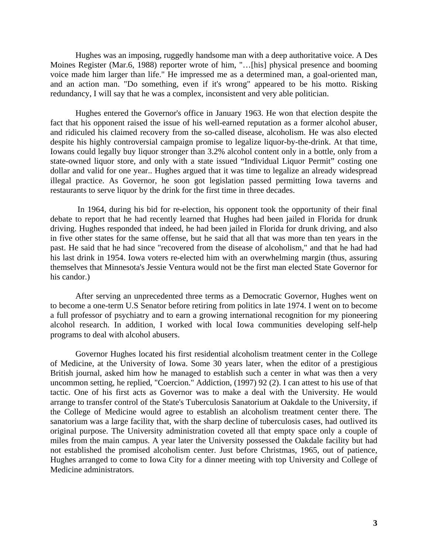Hughes was an imposing, ruggedly handsome man with a deep authoritative voice. A Des Moines Register (Mar.6, 1988) reporter wrote of him, "…[his] physical presence and booming voice made him larger than life." He impressed me as a determined man, a goal-oriented man, and an action man. "Do something, even if it's wrong" appeared to be his motto. Risking redundancy, I will say that he was a complex, inconsistent and very able politician.

Hughes entered the Governor's office in January 1963. He won that election despite the fact that his opponent raised the issue of his well-earned reputation as a former alcohol abuser, and ridiculed his claimed recovery from the so-called disease, alcoholism. He was also elected despite his highly controversial campaign promise to legalize liquor-by-the-drink. At that time, Iowans could legally buy liquor stronger than 3.2% alcohol content only in a bottle, only from a state-owned liquor store, and only with a state issued "Individual Liquor Permit" costing one dollar and valid for one year.. Hughes argued that it was time to legalize an already widespread illegal practice. As Governor, he soon got legislation passed permitting Iowa taverns and restaurants to serve liquor by the drink for the first time in three decades.

 In 1964, during his bid for re-election, his opponent took the opportunity of their final debate to report that he had recently learned that Hughes had been jailed in Florida for drunk driving. Hughes responded that indeed, he had been jailed in Florida for drunk driving, and also in five other states for the same offense, but he said that all that was more than ten years in the past. He said that he had since "recovered from the disease of alcoholism," and that he had had his last drink in 1954. Iowa voters re-elected him with an overwhelming margin (thus, assuring themselves that Minnesota's Jessie Ventura would not be the first man elected State Governor for his candor.)

After serving an unprecedented three terms as a Democratic Governor, Hughes went on to become a one-term U.S Senator before retiring from politics in late 1974. I went on to become a full professor of psychiatry and to earn a growing international recognition for my pioneering alcohol research. In addition, I worked with local Iowa communities developing self-help programs to deal with alcohol abusers.

Governor Hughes located his first residential alcoholism treatment center in the College of Medicine, at the University of Iowa. Some 30 years later, when the editor of a prestigious British journal, asked him how he managed to establish such a center in what was then a very uncommon setting, he replied, "Coercion." Addiction, (1997) 92 (2). I can attest to his use of that tactic. One of his first acts as Governor was to make a deal with the University. He would arrange to transfer control of the State's Tuberculosis Sanatorium at Oakdale to the University, if the College of Medicine would agree to establish an alcoholism treatment center there. The sanatorium was a large facility that, with the sharp decline of tuberculosis cases, had outlived its original purpose. The University administration coveted all that empty space only a couple of miles from the main campus. A year later the University possessed the Oakdale facility but had not established the promised alcoholism center. Just before Christmas, 1965, out of patience, Hughes arranged to come to Iowa City for a dinner meeting with top University and College of Medicine administrators.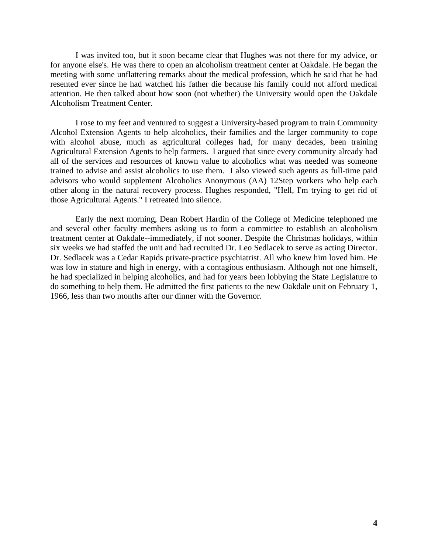I was invited too, but it soon became clear that Hughes was not there for my advice, or for anyone else's. He was there to open an alcoholism treatment center at Oakdale. He began the meeting with some unflattering remarks about the medical profession, which he said that he had resented ever since he had watched his father die because his family could not afford medical attention. He then talked about how soon (not whether) the University would open the Oakdale Alcoholism Treatment Center.

I rose to my feet and ventured to suggest a University-based program to train Community Alcohol Extension Agents to help alcoholics, their families and the larger community to cope with alcohol abuse, much as agricultural colleges had, for many decades, been training Agricultural Extension Agents to help farmers. I argued that since every community already had all of the services and resources of known value to alcoholics what was needed was someone trained to advise and assist alcoholics to use them. I also viewed such agents as full-time paid advisors who would supplement Alcoholics Anonymous (AA) 12Step workers who help each other along in the natural recovery process. Hughes responded, "Hell, I'm trying to get rid of those Agricultural Agents." I retreated into silence.

Early the next morning, Dean Robert Hardin of the College of Medicine telephoned me and several other faculty members asking us to form a committee to establish an alcoholism treatment center at Oakdale--immediately, if not sooner. Despite the Christmas holidays, within six weeks we had staffed the unit and had recruited Dr. Leo Sedlacek to serve as acting Director. Dr. Sedlacek was a Cedar Rapids private-practice psychiatrist. All who knew him loved him. He was low in stature and high in energy, with a contagious enthusiasm. Although not one himself, he had specialized in helping alcoholics, and had for years been lobbying the State Legislature to do something to help them. He admitted the first patients to the new Oakdale unit on February 1, 1966, less than two months after our dinner with the Governor.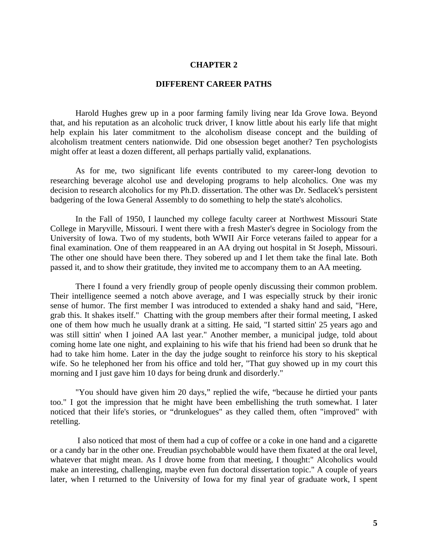### **DIFFERENT CAREER PATHS**

Harold Hughes grew up in a poor farming family living near Ida Grove Iowa. Beyond that, and his reputation as an alcoholic truck driver, I know little about his early life that might help explain his later commitment to the alcoholism disease concept and the building of alcoholism treatment centers nationwide. Did one obsession beget another? Ten psychologists might offer at least a dozen different, all perhaps partially valid, explanations.

As for me, two significant life events contributed to my career-long devotion to researching beverage alcohol use and developing programs to help alcoholics. One was my decision to research alcoholics for my Ph.D. dissertation. The other was Dr. Sedlacek's persistent badgering of the Iowa General Assembly to do something to help the state's alcoholics.

In the Fall of 1950, I launched my college faculty career at Northwest Missouri State College in Maryville, Missouri. I went there with a fresh Master's degree in Sociology from the University of Iowa. Two of my students, both WWII Air Force veterans failed to appear for a final examination. One of them reappeared in an AA drying out hospital in St Joseph, Missouri. The other one should have been there. They sobered up and I let them take the final late. Both passed it, and to show their gratitude, they invited me to accompany them to an AA meeting.

There I found a very friendly group of people openly discussing their common problem. Their intelligence seemed a notch above average, and I was especially struck by their ironic sense of humor. The first member I was introduced to extended a shaky hand and said, "Here, grab this. It shakes itself." Chatting with the group members after their formal meeting, I asked one of them how much he usually drank at a sitting. He said, "I started sittin' 25 years ago and was still sittin' when I joined AA last year." Another member, a municipal judge, told about coming home late one night, and explaining to his wife that his friend had been so drunk that he had to take him home. Later in the day the judge sought to reinforce his story to his skeptical wife. So he telephoned her from his office and told her, "That guy showed up in my court this morning and I just gave him 10 days for being drunk and disorderly."

"You should have given him 20 days," replied the wife, "because he dirtied your pants too." I got the impression that he might have been embellishing the truth somewhat. I later noticed that their life's stories, or "drunkelogues" as they called them, often "improved" with retelling.

 I also noticed that most of them had a cup of coffee or a coke in one hand and a cigarette or a candy bar in the other one. Freudian psychobabble would have them fixated at the oral level, whatever that might mean. As I drove home from that meeting, I thought:" Alcoholics would make an interesting, challenging, maybe even fun doctoral dissertation topic." A couple of years later, when I returned to the University of Iowa for my final year of graduate work, I spent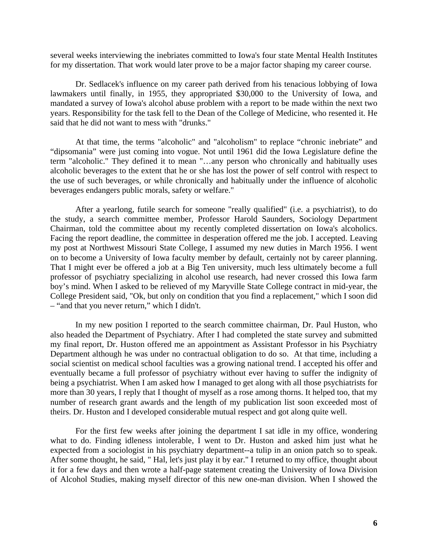several weeks interviewing the inebriates committed to Iowa's four state Mental Health Institutes for my dissertation. That work would later prove to be a major factor shaping my career course.

Dr. Sedlacek's influence on my career path derived from his tenacious lobbying of Iowa lawmakers until finally, in 1955, they appropriated \$30,000 to the University of Iowa, and mandated a survey of Iowa's alcohol abuse problem with a report to be made within the next two years. Responsibility for the task fell to the Dean of the College of Medicine, who resented it. He said that he did not want to mess with "drunks."

At that time, the terms "alcoholic" and "alcoholism" to replace "chronic inebriate" and "dipsomania" were just coming into vogue. Not until 1961 did the Iowa Legislature define the term "alcoholic." They defined it to mean "…any person who chronically and habitually uses alcoholic beverages to the extent that he or she has lost the power of self control with respect to the use of such beverages, or while chronically and habitually under the influence of alcoholic beverages endangers public morals, safety or welfare."

After a yearlong, futile search for someone "really qualified" (i.e. a psychiatrist), to do the study, a search committee member, Professor Harold Saunders, Sociology Department Chairman, told the committee about my recently completed dissertation on Iowa's alcoholics. Facing the report deadline, the committee in desperation offered me the job. I accepted. Leaving my post at Northwest Missouri State College, I assumed my new duties in March 1956. I went on to become a University of Iowa faculty member by default, certainly not by career planning. That I might ever be offered a job at a Big Ten university, much less ultimately become a full professor of psychiatry specializing in alcohol use research, had never crossed this Iowa farm boy's mind. When I asked to be relieved of my Maryville State College contract in mid-year, the College President said, "Ok, but only on condition that you find a replacement," which I soon did – "and that you never return," which I didn't.

In my new position I reported to the search committee chairman, Dr. Paul Huston, who also headed the Department of Psychiatry. After I had completed the state survey and submitted my final report, Dr. Huston offered me an appointment as Assistant Professor in his Psychiatry Department although he was under no contractual obligation to do so. At that time, including a social scientist on medical school faculties was a growing national trend. I accepted his offer and eventually became a full professor of psychiatry without ever having to suffer the indignity of being a psychiatrist. When I am asked how I managed to get along with all those psychiatrists for more than 30 years, I reply that I thought of myself as a rose among thorns. It helped too, that my number of research grant awards and the length of my publication list soon exceeded most of theirs. Dr. Huston and I developed considerable mutual respect and got along quite well.

For the first few weeks after joining the department I sat idle in my office, wondering what to do. Finding idleness intolerable, I went to Dr. Huston and asked him just what he expected from a sociologist in his psychiatry department--a tulip in an onion patch so to speak. After some thought, he said, " Hal, let's just play it by ear." I returned to my office, thought about it for a few days and then wrote a half-page statement creating the University of Iowa Division of Alcohol Studies, making myself director of this new one-man division. When I showed the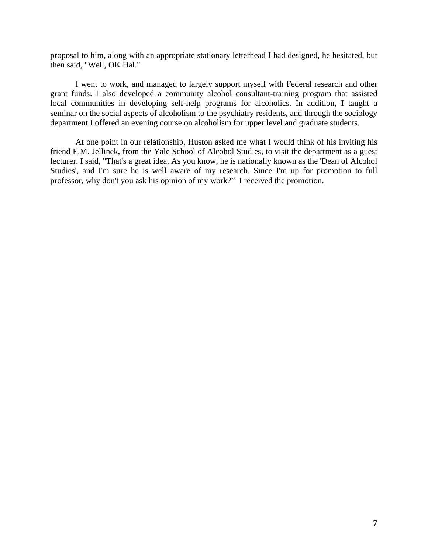proposal to him, along with an appropriate stationary letterhead I had designed, he hesitated, but then said, "Well, OK Hal."

I went to work, and managed to largely support myself with Federal research and other grant funds. I also developed a community alcohol consultant-training program that assisted local communities in developing self-help programs for alcoholics. In addition, I taught a seminar on the social aspects of alcoholism to the psychiatry residents, and through the sociology department I offered an evening course on alcoholism for upper level and graduate students.

At one point in our relationship, Huston asked me what I would think of his inviting his friend E.M. Jellinek, from the Yale School of Alcohol Studies, to visit the department as a guest lecturer. I said, "That's a great idea. As you know, he is nationally known as the 'Dean of Alcohol Studies', and I'm sure he is well aware of my research. Since I'm up for promotion to full professor, why don't you ask his opinion of my work?" I received the promotion.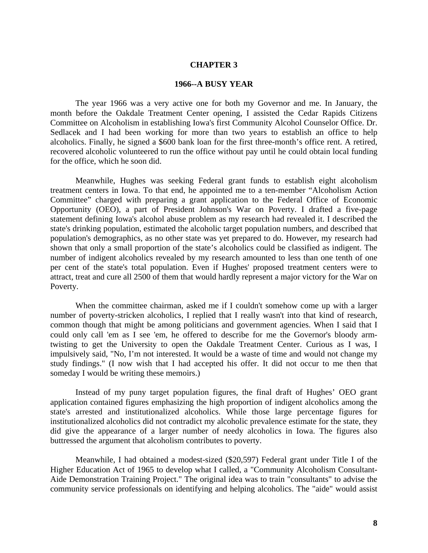### **1966--A BUSY YEAR**

The year 1966 was a very active one for both my Governor and me. In January, the month before the Oakdale Treatment Center opening, I assisted the Cedar Rapids Citizens Committee on Alcoholism in establishing Iowa's first Community Alcohol Counselor Office. Dr. Sedlacek and I had been working for more than two years to establish an office to help alcoholics. Finally, he signed a \$600 bank loan for the first three-month's office rent. A retired, recovered alcoholic volunteered to run the office without pay until he could obtain local funding for the office, which he soon did.

Meanwhile, Hughes was seeking Federal grant funds to establish eight alcoholism treatment centers in Iowa. To that end, he appointed me to a ten-member "Alcoholism Action Committee" charged with preparing a grant application to the Federal Office of Economic Opportunity (OEO), a part of President Johnson's War on Poverty. I drafted a five-page statement defining Iowa's alcohol abuse problem as my research had revealed it. I described the state's drinking population, estimated the alcoholic target population numbers, and described that population's demographics, as no other state was yet prepared to do. However, my research had shown that only a small proportion of the state's alcoholics could be classified as indigent. The number of indigent alcoholics revealed by my research amounted to less than one tenth of one per cent of the state's total population. Even if Hughes' proposed treatment centers were to attract, treat and cure all 2500 of them that would hardly represent a major victory for the War on Poverty.

When the committee chairman, asked me if I couldn't somehow come up with a larger number of poverty-stricken alcoholics, I replied that I really wasn't into that kind of research, common though that might be among politicians and government agencies. When I said that I could only call 'em as I see 'em, he offered to describe for me the Governor's bloody armtwisting to get the University to open the Oakdale Treatment Center. Curious as I was, I impulsively said, "No, I'm not interested. It would be a waste of time and would not change my study findings." (I now wish that I had accepted his offer. It did not occur to me then that someday I would be writing these memoirs.)

Instead of my puny target population figures, the final draft of Hughes' OEO grant application contained figures emphasizing the high proportion of indigent alcoholics among the state's arrested and institutionalized alcoholics. While those large percentage figures for institutionalized alcoholics did not contradict my alcoholic prevalence estimate for the state, they did give the appearance of a larger number of needy alcoholics in Iowa. The figures also buttressed the argument that alcoholism contributes to poverty.

Meanwhile, I had obtained a modest-sized (\$20,597) Federal grant under Title I of the Higher Education Act of 1965 to develop what I called, a "Community Alcoholism Consultant-Aide Demonstration Training Project." The original idea was to train "consultants" to advise the community service professionals on identifying and helping alcoholics. The "aide" would assist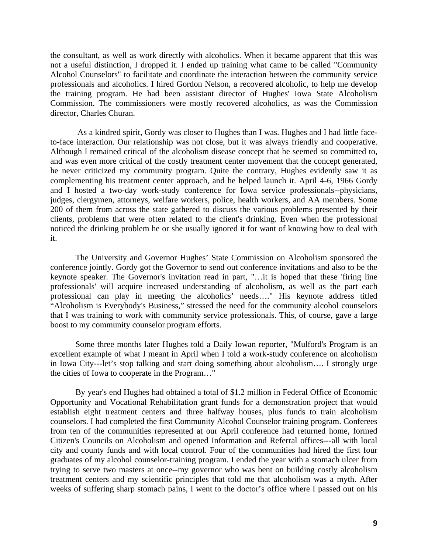the consultant, as well as work directly with alcoholics. When it became apparent that this was not a useful distinction, I dropped it. I ended up training what came to be called "Community Alcohol Counselors" to facilitate and coordinate the interaction between the community service professionals and alcoholics. I hired Gordon Nelson, a recovered alcoholic, to help me develop the training program. He had been assistant director of Hughes' Iowa State Alcoholism Commission. The commissioners were mostly recovered alcoholics, as was the Commission director, Charles Churan.

 As a kindred spirit, Gordy was closer to Hughes than I was. Hughes and I had little faceto-face interaction. Our relationship was not close, but it was always friendly and cooperative. Although I remained critical of the alcoholism disease concept that he seemed so committed to, and was even more critical of the costly treatment center movement that the concept generated, he never criticized my community program. Quite the contrary, Hughes evidently saw it as complementing his treatment center approach, and he helped launch it. April 4-6, 1966 Gordy and I hosted a two-day work-study conference for Iowa service professionals--physicians, judges, clergymen, attorneys, welfare workers, police, health workers, and AA members. Some 200 of them from across the state gathered to discuss the various problems presented by their clients, problems that were often related to the client's drinking. Even when the professional noticed the drinking problem he or she usually ignored it for want of knowing how to deal with it.

The University and Governor Hughes' State Commission on Alcoholism sponsored the conference jointly. Gordy got the Governor to send out conference invitations and also to be the keynote speaker. The Governor's invitation read in part, "…it is hoped that these 'firing line professionals' will acquire increased understanding of alcoholism, as well as the part each professional can play in meeting the alcoholics' needs…." His keynote address titled "Alcoholism is Everybody's Business," stressed the need for the community alcohol counselors that I was training to work with community service professionals. This, of course, gave a large boost to my community counselor program efforts.

Some three months later Hughes told a Daily Iowan reporter, "Mulford's Program is an excellent example of what I meant in April when I told a work-study conference on alcoholism in Iowa City---let's stop talking and start doing something about alcoholism…. I strongly urge the cities of Iowa to cooperate in the Program…"

By year's end Hughes had obtained a total of \$1.2 million in Federal Office of Economic Opportunity and Vocational Rehabilitation grant funds for a demonstration project that would establish eight treatment centers and three halfway houses, plus funds to train alcoholism counselors. I had completed the first Community Alcohol Counselor training program. Conferees from ten of the communities represented at our April conference had returned home, formed Citizen's Councils on Alcoholism and opened Information and Referral offices---all with local city and county funds and with local control. Four of the communities had hired the first four graduates of my alcohol counselor-training program. I ended the year with a stomach ulcer from trying to serve two masters at once--my governor who was bent on building costly alcoholism treatment centers and my scientific principles that told me that alcoholism was a myth. After weeks of suffering sharp stomach pains, I went to the doctor's office where I passed out on his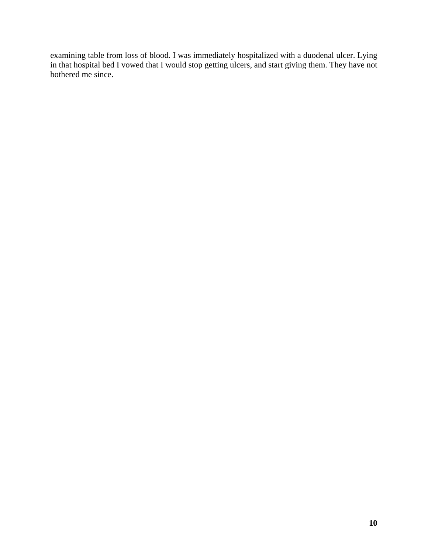examining table from loss of blood. I was immediately hospitalized with a duodenal ulcer. Lying in that hospital bed I vowed that I would stop getting ulcers, and start giving them. They have not bothered me since.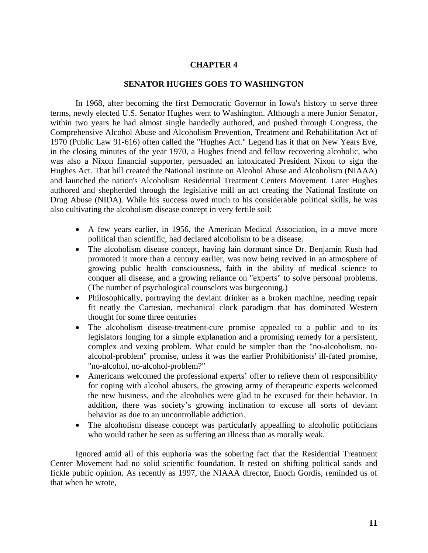### **SENATOR HUGHES GOES TO WASHINGTON**

In 1968, after becoming the first Democratic Governor in Iowa's history to serve three terms, newly elected U.S. Senator Hughes went to Washington. Although a mere Junior Senator, within two years he had almost single handedly authored, and pushed through Congress, the Comprehensive Alcohol Abuse and Alcoholism Prevention, Treatment and Rehabilitation Act of 1970 (Public Law 91-616) often called the "Hughes Act." Legend has it that on New Years Eve, in the closing minutes of the year 1970, a Hughes friend and fellow recovering alcoholic, who was also a Nixon financial supporter, persuaded an intoxicated President Nixon to sign the Hughes Act. That bill created the National Institute on Alcohol Abuse and Alcoholism (NIAAA) and launched the nation's Alcoholism Residential Treatment Centers Movement. Later Hughes authored and shepherded through the legislative mill an act creating the National Institute on Drug Abuse (NIDA). While his success owed much to his considerable political skills, he was also cultivating the alcoholism disease concept in very fertile soil:

- A few years earlier, in 1956, the American Medical Association, in a move more political than scientific, had declared alcoholism to be a disease.
- The alcoholism disease concept, having lain dormant since Dr. Benjamin Rush had promoted it more than a century earlier, was now being revived in an atmosphere of growing public health consciousness, faith in the ability of medical science to conquer all disease, and a growing reliance on "experts" to solve personal problems. (The number of psychological counselors was burgeoning.)
- Philosophically, portraying the deviant drinker as a broken machine, needing repair fit neatly the Cartesian, mechanical clock paradigm that has dominated Western thought for some three centuries
- The alcoholism disease-treatment-cure promise appealed to a public and to its legislators longing for a simple explanation and a promising remedy for a persistent, complex and vexing problem. What could be simpler than the "no-alcoholism, noalcohol-problem" promise, unless it was the earlier Prohibitionists' ill-fated promise, "no-alcohol, no-alcohol-problem?"
- Americans welcomed the professional experts' offer to relieve them of responsibility for coping with alcohol abusers, the growing army of therapeutic experts welcomed the new business, and the alcoholics were glad to be excused for their behavior. In addition, there was society's growing inclination to excuse all sorts of deviant behavior as due to an uncontrollable addiction.
- The alcoholism disease concept was particularly appealling to alcoholic politicians who would rather be seen as suffering an illness than as morally weak.

Ignored amid all of this euphoria was the sobering fact that the Residential Treatment Center Movement had no solid scientific foundation. It rested on shifting political sands and fickle public opinion. As recently as 1997, the NIAAA director, Enoch Gordis, reminded us of that when he wrote,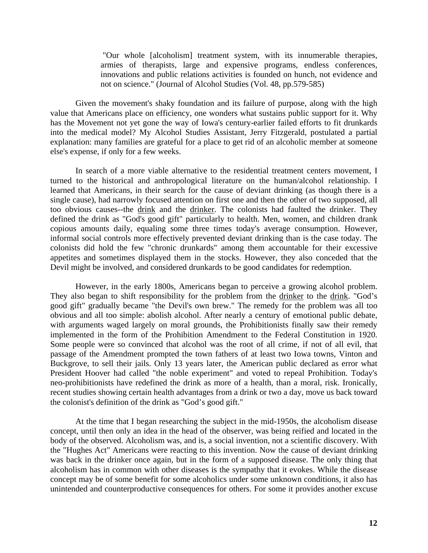"Our whole [alcoholism] treatment system, with its innumerable therapies, armies of therapists, large and expensive programs, endless conferences, innovations and public relations activities is founded on hunch, not evidence and not on science." (Journal of Alcohol Studies (Vol. 48, pp.579-585)

Given the movement's shaky foundation and its failure of purpose, along with the high value that Americans place on efficiency, one wonders what sustains public support for it. Why has the Movement not yet gone the way of Iowa's century-earlier failed efforts to fit drunkards into the medical model? My Alcohol Studies Assistant, Jerry Fitzgerald, postulated a partial explanation: many families are grateful for a place to get rid of an alcoholic member at someone else's expense, if only for a few weeks.

In search of a more viable alternative to the residential treatment centers movement, I turned to the historical and anthropological literature on the human/alcohol relationship. I learned that Americans, in their search for the cause of deviant drinking (as though there is a single cause), had narrowly focused attention on first one and then the other of two supposed, all too obvious causes--the drink and the drinker. The colonists had faulted the drinker. They defined the drink as "God's good gift" particularly to health. Men, women, and children drank copious amounts daily, equaling some three times today's average consumption. However, informal social controls more effectively prevented deviant drinking than is the case today. The colonists did hold the few "chronic drunkards" among them accountable for their excessive appetites and sometimes displayed them in the stocks. However, they also conceded that the Devil might be involved, and considered drunkards to be good candidates for redemption.

However, in the early 1800s, Americans began to perceive a growing alcohol problem. They also began to shift responsibility for the problem from the drinker to the drink. "God's good gift" gradually became "the Devil's own brew." The remedy for the problem was all too obvious and all too simple: abolish alcohol. After nearly a century of emotional public debate, with arguments waged largely on moral grounds, the Prohibitionists finally saw their remedy implemented in the form of the Prohibition Amendment to the Federal Constitution in 1920. Some people were so convinced that alcohol was the root of all crime, if not of all evil, that passage of the Amendment prompted the town fathers of at least two Iowa towns, Vinton and Buckgrove, to sell their jails. Only 13 years later, the American public declared as error what President Hoover had called "the noble experiment" and voted to repeal Prohibition. Today's neo-prohibitionists have redefined the drink as more of a health, than a moral, risk. Ironically, recent studies showing certain health advantages from a drink or two a day, move us back toward the colonist's definition of the drink as "God's good gift."

At the time that I began researching the subject in the mid-1950s, the alcoholism disease concept, until then only an idea in the head of the observer, was being reified and located in the body of the observed. Alcoholism was, and is, a social invention, not a scientific discovery. With the "Hughes Act" Americans were reacting to this invention. Now the cause of deviant drinking was back in the drinker once again, but in the form of a supposed disease. The only thing that alcoholism has in common with other diseases is the sympathy that it evokes. While the disease concept may be of some benefit for some alcoholics under some unknown conditions, it also has unintended and counterproductive consequences for others. For some it provides another excuse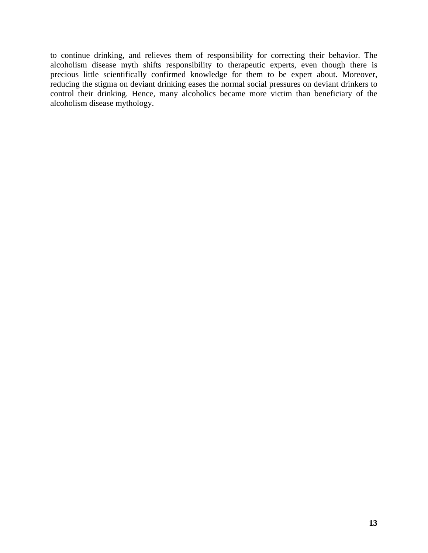to continue drinking, and relieves them of responsibility for correcting their behavior. The alcoholism disease myth shifts responsibility to therapeutic experts, even though there is precious little scientifically confirmed knowledge for them to be expert about. Moreover, reducing the stigma on deviant drinking eases the normal social pressures on deviant drinkers to control their drinking. Hence, many alcoholics became more victim than beneficiary of the alcoholism disease mythology.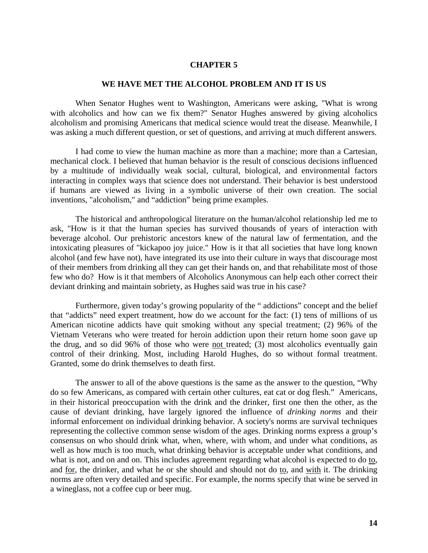#### **WE HAVE MET THE ALCOHOL PROBLEM AND IT IS US**

When Senator Hughes went to Washington, Americans were asking, "What is wrong with alcoholics and how can we fix them?" Senator Hughes answered by giving alcoholics alcoholism and promising Americans that medical science would treat the disease. Meanwhile, I was asking a much different question, or set of questions, and arriving at much different answers.

I had come to view the human machine as more than a machine; more than a Cartesian, mechanical clock. I believed that human behavior is the result of conscious decisions influenced by a multitude of individually weak social, cultural, biological, and environmental factors interacting in complex ways that science does not understand. Their behavior is best understood if humans are viewed as living in a symbolic universe of their own creation. The social inventions, "alcoholism," and "addiction" being prime examples.

The historical and anthropological literature on the human/alcohol relationship led me to ask, "How is it that the human species has survived thousands of years of interaction with beverage alcohol. Our prehistoric ancestors knew of the natural law of fermentation, and the intoxicating pleasures of "kickapoo joy juice." How is it that all societies that have long known alcohol (and few have not), have integrated its use into their culture in ways that discourage most of their members from drinking all they can get their hands on, and that rehabilitate most of those few who do? How is it that members of Alcoholics Anonymous can help each other correct their deviant drinking and maintain sobriety, as Hughes said was true in his case?

Furthermore, given today's growing popularity of the " addictions" concept and the belief that "addicts" need expert treatment, how do we account for the fact: (1) tens of millions of us American nicotine addicts have quit smoking without any special treatment; (2) 96% of the Vietnam Veterans who were treated for heroin addiction upon their return home soon gave up the drug, and so did 96% of those who were not treated; (3) most alcoholics eventually gain control of their drinking. Most, including Harold Hughes, do so without formal treatment. Granted, some do drink themselves to death first.

The answer to all of the above questions is the same as the answer to the question, "Why do so few Americans, as compared with certain other cultures, eat cat or dog flesh." Americans, in their historical preoccupation with the drink and the drinker, first one then the other, as the cause of deviant drinking, have largely ignored the influence of *drinking norms* and their informal enforcement on individual drinking behavior. A society's norms are survival techniques representing the collective common sense wisdom of the ages. Drinking norms express a group's consensus on who should drink what, when, where, with whom, and under what conditions, as well as how much is too much, what drinking behavior is acceptable under what conditions, and what is not, and on and on. This includes agreement regarding what alcohol is expected to do to, and for, the drinker, and what he or she should and should not do to, and with it. The drinking norms are often very detailed and specific. For example, the norms specify that wine be served in a wineglass, not a coffee cup or beer mug.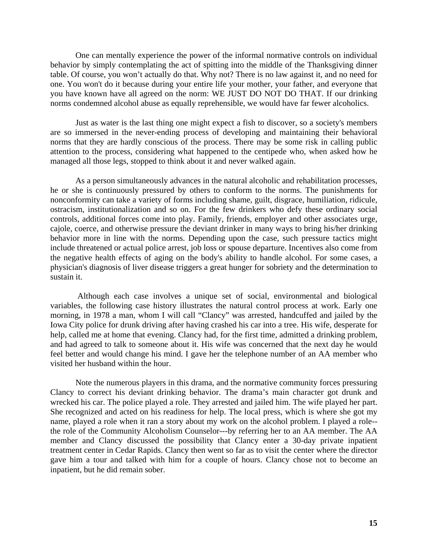One can mentally experience the power of the informal normative controls on individual behavior by simply contemplating the act of spitting into the middle of the Thanksgiving dinner table. Of course, you won't actually do that. Why not? There is no law against it, and no need for one. You won't do it because during your entire life your mother, your father, and everyone that you have known have all agreed on the norm: WE JUST DO NOT DO THAT. If our drinking norms condemned alcohol abuse as equally reprehensible, we would have far fewer alcoholics.

Just as water is the last thing one might expect a fish to discover, so a society's members are so immersed in the never-ending process of developing and maintaining their behavioral norms that they are hardly conscious of the process. There may be some risk in calling public attention to the process, considering what happened to the centipede who, when asked how he managed all those legs, stopped to think about it and never walked again.

As a person simultaneously advances in the natural alcoholic and rehabilitation processes, he or she is continuously pressured by others to conform to the norms. The punishments for nonconformity can take a variety of forms including shame, guilt, disgrace, humiliation, ridicule, ostracism, institutionalization and so on. For the few drinkers who defy these ordinary social controls, additional forces come into play. Family, friends, employer and other associates urge, cajole, coerce, and otherwise pressure the deviant drinker in many ways to bring his/her drinking behavior more in line with the norms. Depending upon the case, such pressure tactics might include threatened or actual police arrest, job loss or spouse departure. Incentives also come from the negative health effects of aging on the body's ability to handle alcohol. For some cases, a physician's diagnosis of liver disease triggers a great hunger for sobriety and the determination to sustain it.

 Although each case involves a unique set of social, environmental and biological variables, the following case history illustrates the natural control process at work. Early one morning, in 1978 a man, whom I will call "Clancy" was arrested, handcuffed and jailed by the Iowa City police for drunk driving after having crashed his car into a tree. His wife, desperate for help, called me at home that evening. Clancy had, for the first time, admitted a drinking problem, and had agreed to talk to someone about it. His wife was concerned that the next day he would feel better and would change his mind. I gave her the telephone number of an AA member who visited her husband within the hour.

Note the numerous players in this drama, and the normative community forces pressuring Clancy to correct his deviant drinking behavior. The drama's main character got drunk and wrecked his car. The police played a role. They arrested and jailed him. The wife played her part. She recognized and acted on his readiness for help. The local press, which is where she got my name, played a role when it ran a story about my work on the alcohol problem. I played a role- the role of the Community Alcoholism Counselor---by referring her to an AA member. The AA member and Clancy discussed the possibility that Clancy enter a 30-day private inpatient treatment center in Cedar Rapids. Clancy then went so far as to visit the center where the director gave him a tour and talked with him for a couple of hours. Clancy chose not to become an inpatient, but he did remain sober.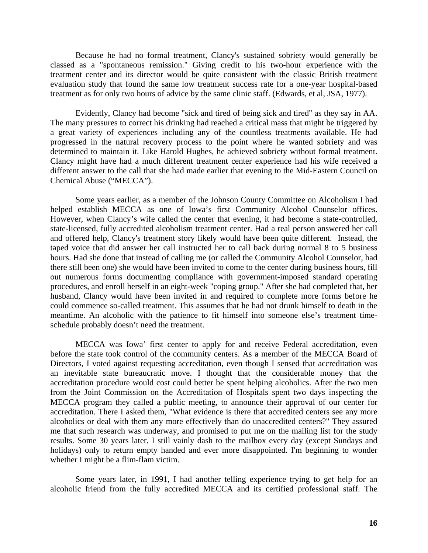Because he had no formal treatment, Clancy's sustained sobriety would generally be classed as a "spontaneous remission." Giving credit to his two-hour experience with the treatment center and its director would be quite consistent with the classic British treatment evaluation study that found the same low treatment success rate for a one-year hospital-based treatment as for only two hours of advice by the same clinic staff. (Edwards, et al, JSA, 1977).

Evidently, Clancy had become "sick and tired of being sick and tired" as they say in AA. The many pressures to correct his drinking had reached a critical mass that might be triggered by a great variety of experiences including any of the countless treatments available. He had progressed in the natural recovery process to the point where he wanted sobriety and was determined to maintain it. Like Harold Hughes, he achieved sobriety without formal treatment. Clancy might have had a much different treatment center experience had his wife received a different answer to the call that she had made earlier that evening to the Mid-Eastern Council on Chemical Abuse ("MECCA").

Some years earlier, as a member of the Johnson County Committee on Alcoholism I had helped establish MECCA as one of Iowa's first Community Alcohol Counselor offices. However, when Clancy's wife called the center that evening, it had become a state-controlled, state-licensed, fully accredited alcoholism treatment center. Had a real person answered her call and offered help, Clancy's treatment story likely would have been quite different. Instead, the taped voice that did answer her call instructed her to call back during normal 8 to 5 business hours. Had she done that instead of calling me (or called the Community Alcohol Counselor, had there still been one) she would have been invited to come to the center during business hours, fill out numerous forms documenting compliance with government-imposed standard operating procedures, and enroll herself in an eight-week "coping group." After she had completed that, her husband, Clancy would have been invited in and required to complete more forms before he could commence so-called treatment. This assumes that he had not drunk himself to death in the meantime. An alcoholic with the patience to fit himself into someone else's treatment timeschedule probably doesn't need the treatment.

MECCA was Iowa' first center to apply for and receive Federal accreditation, even before the state took control of the community centers. As a member of the MECCA Board of Directors, I voted against requesting accreditation, even though I sensed that accreditation was an inevitable state bureaucratic move. I thought that the considerable money that the accreditation procedure would cost could better be spent helping alcoholics. After the two men from the Joint Commission on the Accreditation of Hospitals spent two days inspecting the MECCA program they called a public meeting, to announce their approval of our center for accreditation. There I asked them, "What evidence is there that accredited centers see any more alcoholics or deal with them any more effectively than do unaccredited centers?" They assured me that such research was underway, and promised to put me on the mailing list for the study results. Some 30 years later, I still vainly dash to the mailbox every day (except Sundays and holidays) only to return empty handed and ever more disappointed. I'm beginning to wonder whether I might be a flim-flam victim.

Some years later, in 1991, I had another telling experience trying to get help for an alcoholic friend from the fully accredited MECCA and its certified professional staff. The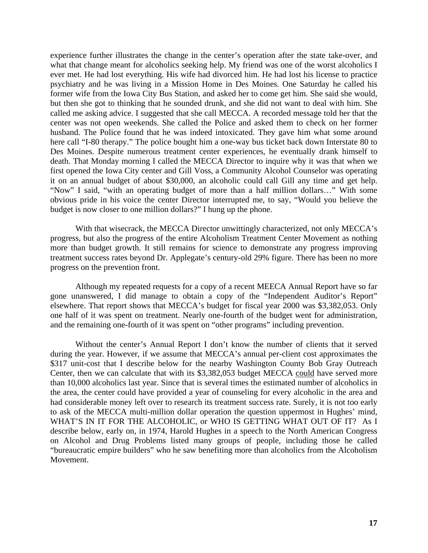experience further illustrates the change in the center's operation after the state take-over, and what that change meant for alcoholics seeking help. My friend was one of the worst alcoholics I ever met. He had lost everything. His wife had divorced him. He had lost his license to practice psychiatry and he was living in a Mission Home in Des Moines. One Saturday he called his former wife from the Iowa City Bus Station, and asked her to come get him. She said she would, but then she got to thinking that he sounded drunk, and she did not want to deal with him. She called me asking advice. I suggested that she call MECCA. A recorded message told her that the center was not open weekends. She called the Police and asked them to check on her former husband. The Police found that he was indeed intoxicated. They gave him what some around here call "I-80 therapy." The police bought him a one-way bus ticket back down Interstate 80 to Des Moines. Despite numerous treatment center experiences, he eventually drank himself to death. That Monday morning I called the MECCA Director to inquire why it was that when we first opened the Iowa City center and Gill Voss, a Community Alcohol Counselor was operating it on an annual budget of about \$30,000, an alcoholic could call Gill any time and get help. "Now" I said, "with an operating budget of more than a half million dollars…" With some obvious pride in his voice the center Director interrupted me, to say, "Would you believe the budget is now closer to one million dollars?" I hung up the phone.

With that wisecrack, the MECCA Director unwittingly characterized, not only MECCA's progress, but also the progress of the entire Alcoholism Treatment Center Movement as nothing more than budget growth. It still remains for science to demonstrate any progress improving treatment success rates beyond Dr. Applegate's century-old 29% figure. There has been no more progress on the prevention front.

Although my repeated requests for a copy of a recent MEECA Annual Report have so far gone unanswered, I did manage to obtain a copy of the "Independent Auditor's Report" elsewhere. That report shows that MECCA's budget for fiscal year 2000 was \$3,382,053. Only one half of it was spent on treatment. Nearly one-fourth of the budget went for administration, and the remaining one-fourth of it was spent on "other programs" including prevention.

Without the center's Annual Report I don't know the number of clients that it served during the year. However, if we assume that MECCA's annual per-client cost approximates the \$317 unit-cost that I describe below for the nearby Washington County Bob Gray Outreach Center, then we can calculate that with its \$3,382,053 budget MECCA could have served more than 10,000 alcoholics last year. Since that is several times the estimated number of alcoholics in the area, the center could have provided a year of counseling for every alcoholic in the area and had considerable money left over to research its treatment success rate. Surely, it is not too early to ask of the MECCA multi-million dollar operation the question uppermost in Hughes' mind, WHAT'S IN IT FOR THE ALCOHOLIC, or WHO IS GETTING WHAT OUT OF IT? As I describe below, early on, in 1974, Harold Hughes in a speech to the North American Congress on Alcohol and Drug Problems listed many groups of people, including those he called "bureaucratic empire builders" who he saw benefiting more than alcoholics from the Alcoholism Movement.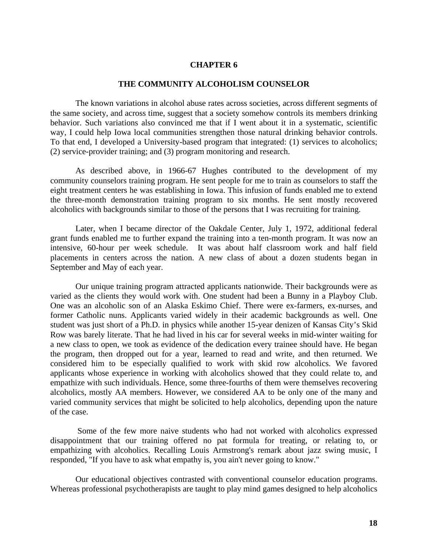#### **THE COMMUNITY ALCOHOLISM COUNSELOR**

The known variations in alcohol abuse rates across societies, across different segments of the same society, and across time, suggest that a society somehow controls its members drinking behavior. Such variations also convinced me that if I went about it in a systematic, scientific way, I could help Iowa local communities strengthen those natural drinking behavior controls. To that end, I developed a University-based program that integrated: (1) services to alcoholics; (2) service-provider training; and (3) program monitoring and research.

As described above, in 1966-67 Hughes contributed to the development of my community counselors training program. He sent people for me to train as counselors to staff the eight treatment centers he was establishing in Iowa. This infusion of funds enabled me to extend the three-month demonstration training program to six months. He sent mostly recovered alcoholics with backgrounds similar to those of the persons that I was recruiting for training.

Later, when I became director of the Oakdale Center, July 1, 1972, additional federal grant funds enabled me to further expand the training into a ten-month program. It was now an intensive, 60-hour per week schedule. It was about half classroom work and half field placements in centers across the nation. A new class of about a dozen students began in September and May of each year.

Our unique training program attracted applicants nationwide. Their backgrounds were as varied as the clients they would work with. One student had been a Bunny in a Playboy Club. One was an alcoholic son of an Alaska Eskimo Chief. There were ex-farmers, ex-nurses, and former Catholic nuns. Applicants varied widely in their academic backgrounds as well. One student was just short of a Ph.D. in physics while another 15-year denizen of Kansas City's Skid Row was barely literate. That he had lived in his car for several weeks in mid-winter waiting for a new class to open, we took as evidence of the dedication every trainee should have. He began the program, then dropped out for a year, learned to read and write, and then returned. We considered him to be especially qualified to work with skid row alcoholics. We favored applicants whose experience in working with alcoholics showed that they could relate to, and empathize with such individuals. Hence, some three-fourths of them were themselves recovering alcoholics, mostly AA members. However, we considered AA to be only one of the many and varied community services that might be solicited to help alcoholics, depending upon the nature of the case.

 Some of the few more naive students who had not worked with alcoholics expressed disappointment that our training offered no pat formula for treating, or relating to, or empathizing with alcoholics. Recalling Louis Armstrong's remark about jazz swing music, I responded, "If you have to ask what empathy is, you ain't never going to know."

Our educational objectives contrasted with conventional counselor education programs. Whereas professional psychotherapists are taught to play mind games designed to help alcoholics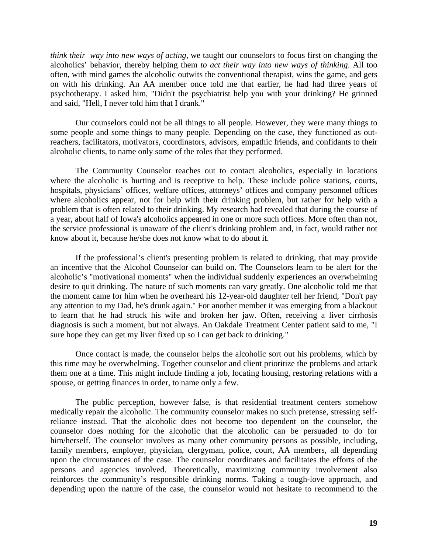*think their way into new ways of acting,* we taught our counselors to focus first on changing the alcoholics' behavior, thereby helping them *to act their way into new ways of thinking*. All too often, with mind games the alcoholic outwits the conventional therapist, wins the game, and gets on with his drinking. An AA member once told me that earlier, he had had three years of psychotherapy. I asked him, "Didn't the psychiatrist help you with your drinking? He grinned and said, "Hell, I never told him that I drank."

Our counselors could not be all things to all people. However, they were many things to some people and some things to many people. Depending on the case, they functioned as outreachers, facilitators, motivators, coordinators, advisors, empathic friends, and confidants to their alcoholic clients, to name only some of the roles that they performed.

The Community Counselor reaches out to contact alcoholics, especially in locations where the alcoholic is hurting and is receptive to help. These include police stations, courts, hospitals, physicians' offices, welfare offices, attorneys' offices and company personnel offices where alcoholics appear, not for help with their drinking problem, but rather for help with a problem that is often related to their drinking. My research had revealed that during the course of a year, about half of Iowa's alcoholics appeared in one or more such offices. More often than not, the service professional is unaware of the client's drinking problem and, in fact, would rather not know about it, because he/she does not know what to do about it.

If the professional's client's presenting problem is related to drinking, that may provide an incentive that the Alcohol Counselor can build on. The Counselors learn to be alert for the alcoholic's "motivational moments" when the individual suddenly experiences an overwhelming desire to quit drinking. The nature of such moments can vary greatly. One alcoholic told me that the moment came for him when he overheard his 12-year-old daughter tell her friend, "Don't pay any attention to my Dad, he's drunk again." For another member it was emerging from a blackout to learn that he had struck his wife and broken her jaw. Often, receiving a liver cirrhosis diagnosis is such a moment, but not always. An Oakdale Treatment Center patient said to me, "I sure hope they can get my liver fixed up so I can get back to drinking."

Once contact is made, the counselor helps the alcoholic sort out his problems, which by this time may be overwhelming. Together counselor and client prioritize the problems and attack them one at a time. This might include finding a job, locating housing, restoring relations with a spouse, or getting finances in order, to name only a few.

The public perception, however false, is that residential treatment centers somehow medically repair the alcoholic. The community counselor makes no such pretense, stressing selfreliance instead. That the alcoholic does not become too dependent on the counselor, the counselor does nothing for the alcoholic that the alcoholic can be persuaded to do for him/herself. The counselor involves as many other community persons as possible, including, family members, employer, physician, clergyman, police, court, AA members, all depending upon the circumstances of the case. The counselor coordinates and facilitates the efforts of the persons and agencies involved. Theoretically, maximizing community involvement also reinforces the community's responsible drinking norms. Taking a tough-love approach, and depending upon the nature of the case, the counselor would not hesitate to recommend to the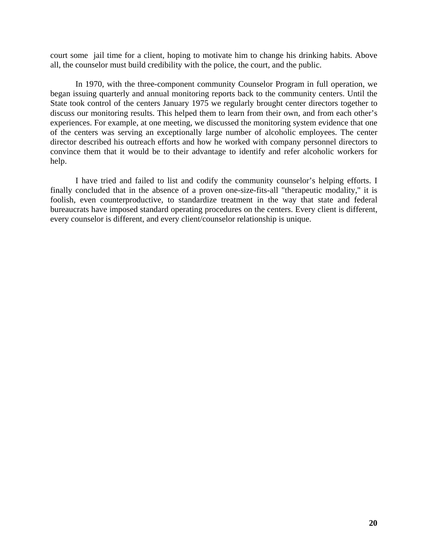court some jail time for a client, hoping to motivate him to change his drinking habits. Above all, the counselor must build credibility with the police, the court, and the public.

In 1970, with the three-component community Counselor Program in full operation, we began issuing quarterly and annual monitoring reports back to the community centers. Until the State took control of the centers January 1975 we regularly brought center directors together to discuss our monitoring results. This helped them to learn from their own, and from each other's experiences. For example, at one meeting, we discussed the monitoring system evidence that one of the centers was serving an exceptionally large number of alcoholic employees. The center director described his outreach efforts and how he worked with company personnel directors to convince them that it would be to their advantage to identify and refer alcoholic workers for help.

I have tried and failed to list and codify the community counselor's helping efforts. I finally concluded that in the absence of a proven one-size-fits-all "therapeutic modality," it is foolish, even counterproductive, to standardize treatment in the way that state and federal bureaucrats have imposed standard operating procedures on the centers. Every client is different, every counselor is different, and every client/counselor relationship is unique.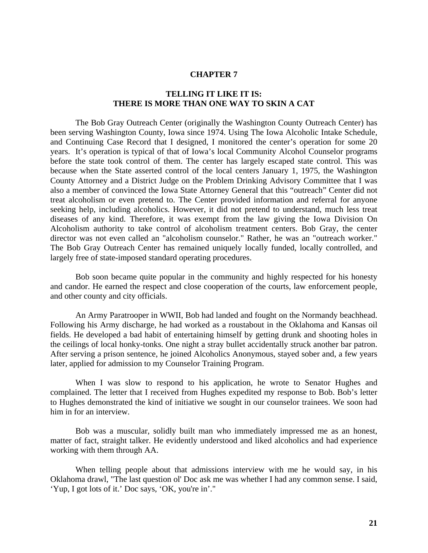# **TELLING IT LIKE IT IS: THERE IS MORE THAN ONE WAY TO SKIN A CAT**

The Bob Gray Outreach Center (originally the Washington County Outreach Center) has been serving Washington County, Iowa since 1974. Using The Iowa Alcoholic Intake Schedule, and Continuing Case Record that I designed, I monitored the center's operation for some 20 years. It's operation is typical of that of Iowa's local Community Alcohol Counselor programs before the state took control of them. The center has largely escaped state control. This was because when the State asserted control of the local centers January 1, 1975, the Washington County Attorney and a District Judge on the Problem Drinking Advisory Committee that I was also a member of convinced the Iowa State Attorney General that this "outreach" Center did not treat alcoholism or even pretend to. The Center provided information and referral for anyone seeking help, including alcoholics. However, it did not pretend to understand, much less treat diseases of any kind. Therefore, it was exempt from the law giving the Iowa Division On Alcoholism authority to take control of alcoholism treatment centers. Bob Gray, the center director was not even called an "alcoholism counselor." Rather, he was an "outreach worker." The Bob Gray Outreach Center has remained uniquely locally funded, locally controlled, and largely free of state-imposed standard operating procedures.

Bob soon became quite popular in the community and highly respected for his honesty and candor. He earned the respect and close cooperation of the courts, law enforcement people, and other county and city officials.

An Army Paratrooper in WWII, Bob had landed and fought on the Normandy beachhead. Following his Army discharge, he had worked as a roustabout in the Oklahoma and Kansas oil fields. He developed a bad habit of entertaining himself by getting drunk and shooting holes in the ceilings of local honky-tonks. One night a stray bullet accidentally struck another bar patron. After serving a prison sentence, he joined Alcoholics Anonymous, stayed sober and, a few years later, applied for admission to my Counselor Training Program.

When I was slow to respond to his application, he wrote to Senator Hughes and complained. The letter that I received from Hughes expedited my response to Bob. Bob's letter to Hughes demonstrated the kind of initiative we sought in our counselor trainees. We soon had him in for an interview.

Bob was a muscular, solidly built man who immediately impressed me as an honest, matter of fact, straight talker. He evidently understood and liked alcoholics and had experience working with them through AA.

When telling people about that admissions interview with me he would say, in his Oklahoma drawl, "The last question ol' Doc ask me was whether I had any common sense. I said, 'Yup, I got lots of it.' Doc says, 'OK, you're in'."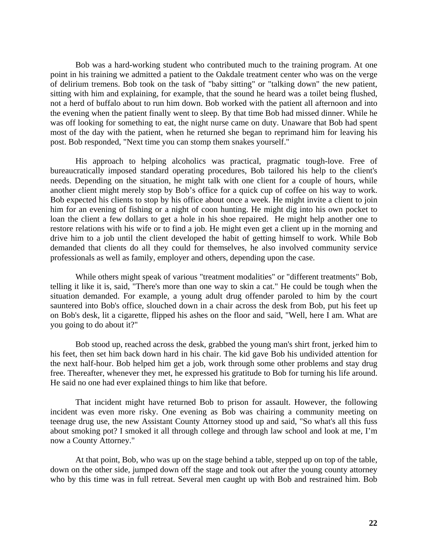Bob was a hard-working student who contributed much to the training program. At one point in his training we admitted a patient to the Oakdale treatment center who was on the verge of delirium tremens. Bob took on the task of "baby sitting" or "talking down" the new patient, sitting with him and explaining, for example, that the sound he heard was a toilet being flushed, not a herd of buffalo about to run him down. Bob worked with the patient all afternoon and into the evening when the patient finally went to sleep. By that time Bob had missed dinner. While he was off looking for something to eat, the night nurse came on duty. Unaware that Bob had spent most of the day with the patient, when he returned she began to reprimand him for leaving his post. Bob responded, "Next time you can stomp them snakes yourself."

His approach to helping alcoholics was practical, pragmatic tough-love. Free of bureaucratically imposed standard operating procedures, Bob tailored his help to the client's needs. Depending on the situation, he might talk with one client for a couple of hours, while another client might merely stop by Bob's office for a quick cup of coffee on his way to work. Bob expected his clients to stop by his office about once a week. He might invite a client to join him for an evening of fishing or a night of coon hunting. He might dig into his own pocket to loan the client a few dollars to get a hole in his shoe repaired. He might help another one to restore relations with his wife or to find a job. He might even get a client up in the morning and drive him to a job until the client developed the habit of getting himself to work. While Bob demanded that clients do all they could for themselves, he also involved community service professionals as well as family, employer and others, depending upon the case.

While others might speak of various "treatment modalities" or "different treatments" Bob, telling it like it is, said, "There's more than one way to skin a cat." He could be tough when the situation demanded. For example, a young adult drug offender paroled to him by the court sauntered into Bob's office, slouched down in a chair across the desk from Bob, put his feet up on Bob's desk, lit a cigarette, flipped his ashes on the floor and said, "Well, here I am. What are you going to do about it?"

Bob stood up, reached across the desk, grabbed the young man's shirt front, jerked him to his feet, then set him back down hard in his chair. The kid gave Bob his undivided attention for the next half-hour. Bob helped him get a job, work through some other problems and stay drug free. Thereafter, whenever they met, he expressed his gratitude to Bob for turning his life around. He said no one had ever explained things to him like that before.

That incident might have returned Bob to prison for assault. However, the following incident was even more risky. One evening as Bob was chairing a community meeting on teenage drug use, the new Assistant County Attorney stood up and said, "So what's all this fuss about smoking pot? I smoked it all through college and through law school and look at me, I'm now a County Attorney."

At that point, Bob, who was up on the stage behind a table, stepped up on top of the table, down on the other side, jumped down off the stage and took out after the young county attorney who by this time was in full retreat. Several men caught up with Bob and restrained him. Bob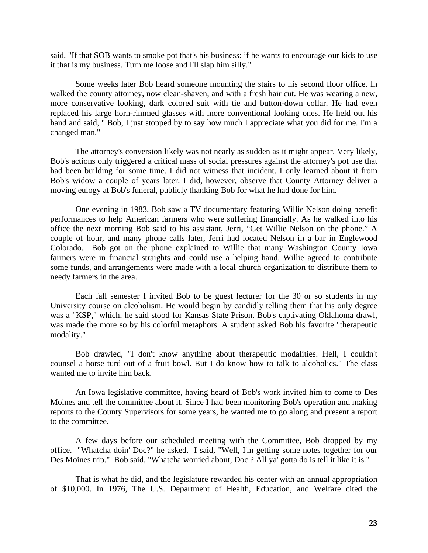said, "If that SOB wants to smoke pot that's his business: if he wants to encourage our kids to use it that is my business. Turn me loose and I'll slap him silly."

Some weeks later Bob heard someone mounting the stairs to his second floor office. In walked the county attorney, now clean-shaven, and with a fresh hair cut. He was wearing a new, more conservative looking, dark colored suit with tie and button-down collar. He had even replaced his large horn-rimmed glasses with more conventional looking ones. He held out his hand and said, " Bob, I just stopped by to say how much I appreciate what you did for me. I'm a changed man."

The attorney's conversion likely was not nearly as sudden as it might appear. Very likely, Bob's actions only triggered a critical mass of social pressures against the attorney's pot use that had been building for some time. I did not witness that incident. I only learned about it from Bob's widow a couple of years later. I did, however, observe that County Attorney deliver a moving eulogy at Bob's funeral, publicly thanking Bob for what he had done for him.

One evening in 1983, Bob saw a TV documentary featuring Willie Nelson doing benefit performances to help American farmers who were suffering financially. As he walked into his office the next morning Bob said to his assistant, Jerri, "Get Willie Nelson on the phone." A couple of hour, and many phone calls later, Jerri had located Nelson in a bar in Englewood Colorado. Bob got on the phone explained to Willie that many Washington County Iowa farmers were in financial straights and could use a helping hand. Willie agreed to contribute some funds, and arrangements were made with a local church organization to distribute them to needy farmers in the area.

Each fall semester I invited Bob to be guest lecturer for the 30 or so students in my University course on alcoholism. He would begin by candidly telling them that his only degree was a "KSP," which, he said stood for Kansas State Prison. Bob's captivating Oklahoma drawl, was made the more so by his colorful metaphors. A student asked Bob his favorite "therapeutic modality."

Bob drawled, "I don't know anything about therapeutic modalities. Hell, I couldn't counsel a horse turd out of a fruit bowl. But I do know how to talk to alcoholics." The class wanted me to invite him back.

An Iowa legislative committee, having heard of Bob's work invited him to come to Des Moines and tell the committee about it. Since I had been monitoring Bob's operation and making reports to the County Supervisors for some years, he wanted me to go along and present a report to the committee.

A few days before our scheduled meeting with the Committee, Bob dropped by my office. "Whatcha doin' Doc?" he asked. I said, "Well, I'm getting some notes together for our Des Moines trip." Bob said, "Whatcha worried about, Doc.? All ya' gotta do is tell it like it is."

That is what he did, and the legislature rewarded his center with an annual appropriation of \$10,000. In 1976, The U.S. Department of Health, Education, and Welfare cited the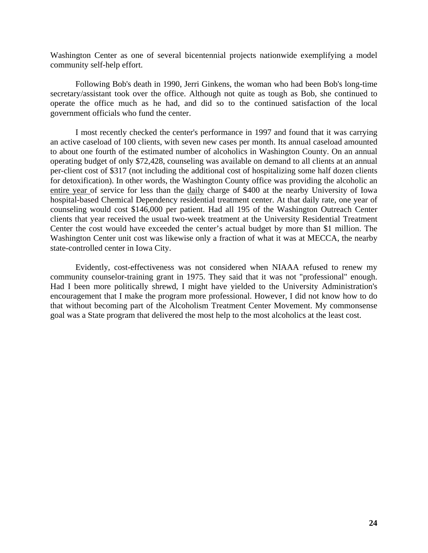Washington Center as one of several bicentennial projects nationwide exemplifying a model community self-help effort.

Following Bob's death in 1990, Jerri Ginkens, the woman who had been Bob's long-time secretary/assistant took over the office. Although not quite as tough as Bob, she continued to operate the office much as he had, and did so to the continued satisfaction of the local government officials who fund the center.

I most recently checked the center's performance in 1997 and found that it was carrying an active caseload of 100 clients, with seven new cases per month. Its annual caseload amounted to about one fourth of the estimated number of alcoholics in Washington County. On an annual operating budget of only \$72,428, counseling was available on demand to all clients at an annual per-client cost of \$317 (not including the additional cost of hospitalizing some half dozen clients for detoxification). In other words, the Washington County office was providing the alcoholic an entire year of service for less than the daily charge of \$400 at the nearby University of Iowa hospital-based Chemical Dependency residential treatment center. At that daily rate, one year of counseling would cost \$146,000 per patient. Had all 195 of the Washington Outreach Center clients that year received the usual two-week treatment at the University Residential Treatment Center the cost would have exceeded the center's actual budget by more than \$1 million. The Washington Center unit cost was likewise only a fraction of what it was at MECCA, the nearby state-controlled center in Iowa City.

Evidently, cost-effectiveness was not considered when NIAAA refused to renew my community counselor-training grant in 1975. They said that it was not "professional" enough. Had I been more politically shrewd, I might have yielded to the University Administration's encouragement that I make the program more professional. However, I did not know how to do that without becoming part of the Alcoholism Treatment Center Movement. My commonsense goal was a State program that delivered the most help to the most alcoholics at the least cost.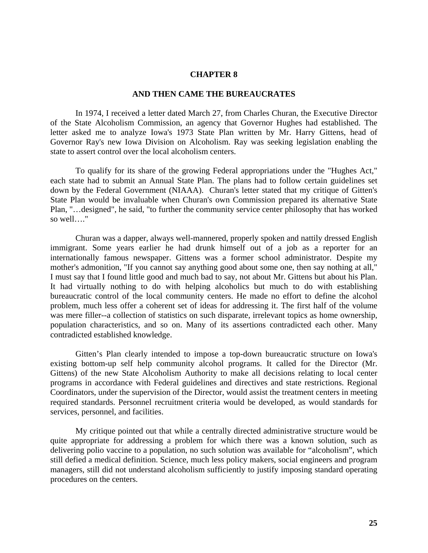### **AND THEN CAME THE BUREAUCRATES**

In 1974, I received a letter dated March 27, from Charles Churan, the Executive Director of the State Alcoholism Commission, an agency that Governor Hughes had established. The letter asked me to analyze Iowa's 1973 State Plan written by Mr. Harry Gittens, head of Governor Ray's new Iowa Division on Alcoholism. Ray was seeking legislation enabling the state to assert control over the local alcoholism centers.

To qualify for its share of the growing Federal appropriations under the "Hughes Act," each state had to submit an Annual State Plan. The plans had to follow certain guidelines set down by the Federal Government (NIAAA). Churan's letter stated that my critique of Gitten's State Plan would be invaluable when Churan's own Commission prepared its alternative State Plan, "…designed", he said, "to further the community service center philosophy that has worked so well…."

Churan was a dapper, always well-mannered, properly spoken and nattily dressed English immigrant. Some years earlier he had drunk himself out of a job as a reporter for an internationally famous newspaper. Gittens was a former school administrator. Despite my mother's admonition, "If you cannot say anything good about some one, then say nothing at all," I must say that I found little good and much bad to say, not about Mr. Gittens but about his Plan. It had virtually nothing to do with helping alcoholics but much to do with establishing bureaucratic control of the local community centers. He made no effort to define the alcohol problem, much less offer a coherent set of ideas for addressing it. The first half of the volume was mere filler--a collection of statistics on such disparate, irrelevant topics as home ownership, population characteristics, and so on. Many of its assertions contradicted each other. Many contradicted established knowledge.

Gitten's Plan clearly intended to impose a top-down bureaucratic structure on Iowa's existing bottom-up self help community alcohol programs. It called for the Director (Mr. Gittens) of the new State Alcoholism Authority to make all decisions relating to local center programs in accordance with Federal guidelines and directives and state restrictions. Regional Coordinators, under the supervision of the Director, would assist the treatment centers in meeting required standards. Personnel recruitment criteria would be developed, as would standards for services, personnel, and facilities.

My critique pointed out that while a centrally directed administrative structure would be quite appropriate for addressing a problem for which there was a known solution, such as delivering polio vaccine to a population, no such solution was available for "alcoholism", which still defied a medical definition. Science, much less policy makers, social engineers and program managers, still did not understand alcoholism sufficiently to justify imposing standard operating procedures on the centers.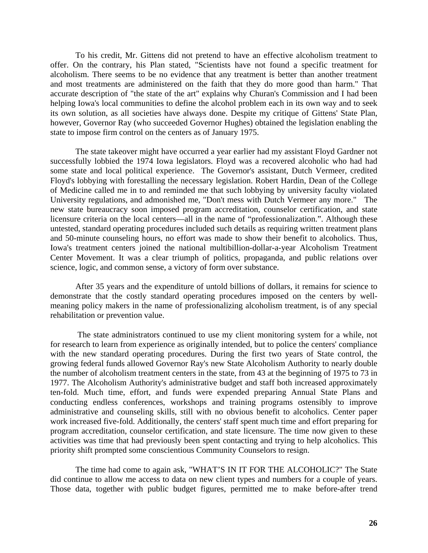To his credit, Mr. Gittens did not pretend to have an effective alcoholism treatment to offer. On the contrary, his Plan stated, "Scientists have not found a specific treatment for alcoholism. There seems to be no evidence that any treatment is better than another treatment and most treatments are administered on the faith that they do more good than harm." That accurate description of "the state of the art" explains why Churan's Commission and I had been helping Iowa's local communities to define the alcohol problem each in its own way and to seek its own solution, as all societies have always done. Despite my critique of Gittens' State Plan, however, Governor Ray (who succeeded Governor Hughes) obtained the legislation enabling the state to impose firm control on the centers as of January 1975.

The state takeover might have occurred a year earlier had my assistant Floyd Gardner not successfully lobbied the 1974 Iowa legislators. Floyd was a recovered alcoholic who had had some state and local political experience. The Governor's assistant, Dutch Vermeer, credited Floyd's lobbying with forestalling the necessary legislation. Robert Hardin, Dean of the College of Medicine called me in to and reminded me that such lobbying by university faculty violated University regulations, and admonished me, "Don't mess with Dutch Vermeer any more." The new state bureaucracy soon imposed program accreditation, counselor certification, and state licensure criteria on the local centers—all in the name of "professionalization.". Although these untested, standard operating procedures included such details as requiring written treatment plans and 50-minute counseling hours, no effort was made to show their benefit to alcoholics. Thus, Iowa's treatment centers joined the national multibillion-dollar-a-year Alcoholism Treatment Center Movement. It was a clear triumph of politics, propaganda, and public relations over science, logic, and common sense, a victory of form over substance.

After 35 years and the expenditure of untold billions of dollars, it remains for science to demonstrate that the costly standard operating procedures imposed on the centers by wellmeaning policy makers in the name of professionalizing alcoholism treatment, is of any special rehabilitation or prevention value.

 The state administrators continued to use my client monitoring system for a while, not for research to learn from experience as originally intended, but to police the centers' compliance with the new standard operating procedures. During the first two years of State control, the growing federal funds allowed Governor Ray's new State Alcoholism Authority to nearly double the number of alcoholism treatment centers in the state, from 43 at the beginning of 1975 to 73 in 1977. The Alcoholism Authority's administrative budget and staff both increased approximately ten-fold. Much time, effort, and funds were expended preparing Annual State Plans and conducting endless conferences, workshops and training programs ostensibly to improve administrative and counseling skills, still with no obvious benefit to alcoholics. Center paper work increased five-fold. Additionally, the centers' staff spent much time and effort preparing for program accreditation, counselor certification, and state licensure. The time now given to these activities was time that had previously been spent contacting and trying to help alcoholics. This priority shift prompted some conscientious Community Counselors to resign.

The time had come to again ask, "WHAT'S IN IT FOR THE ALCOHOLIC?" The State did continue to allow me access to data on new client types and numbers for a couple of years. Those data, together with public budget figures, permitted me to make before-after trend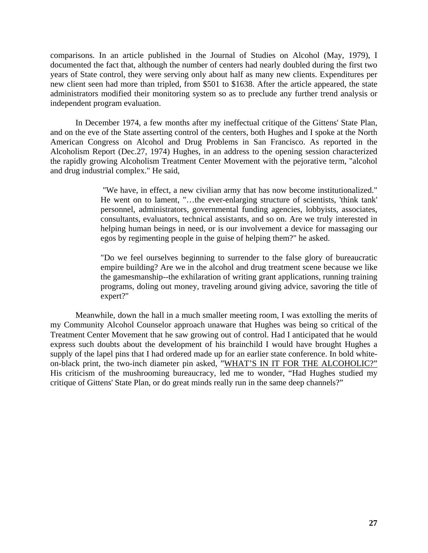comparisons. In an article published in the Journal of Studies on Alcohol (May, 1979), I documented the fact that, although the number of centers had nearly doubled during the first two years of State control, they were serving only about half as many new clients. Expenditures per new client seen had more than tripled, from \$501 to \$1638. After the article appeared, the state administrators modified their monitoring system so as to preclude any further trend analysis or independent program evaluation.

In December 1974, a few months after my ineffectual critique of the Gittens' State Plan, and on the eve of the State asserting control of the centers, both Hughes and I spoke at the North American Congress on Alcohol and Drug Problems in San Francisco. As reported in the Alcoholism Report (Dec.27, 1974) Hughes, in an address to the opening session characterized the rapidly growing Alcoholism Treatment Center Movement with the pejorative term, "alcohol and drug industrial complex." He said,

> "We have, in effect, a new civilian army that has now become institutionalized." He went on to lament, "…the ever-enlarging structure of scientists, 'think tank' personnel, administrators, governmental funding agencies, lobbyists, associates, consultants, evaluators, technical assistants, and so on. Are we truly interested in helping human beings in need, or is our involvement a device for massaging our egos by regimenting people in the guise of helping them?" he asked.

> "Do we feel ourselves beginning to surrender to the false glory of bureaucratic empire building? Are we in the alcohol and drug treatment scene because we like the gamesmanship--the exhilaration of writing grant applications, running training programs, doling out money, traveling around giving advice, savoring the title of expert?"

Meanwhile, down the hall in a much smaller meeting room, I was extolling the merits of my Community Alcohol Counselor approach unaware that Hughes was being so critical of the Treatment Center Movement that he saw growing out of control. Had I anticipated that he would express such doubts about the development of his brainchild I would have brought Hughes a supply of the lapel pins that I had ordered made up for an earlier state conference. In bold whiteon-black print, the two-inch diameter pin asked, "WHAT'S IN IT FOR THE ALCOHOLIC?" His criticism of the mushrooming bureaucracy, led me to wonder, "Had Hughes studied my critique of Gittens' State Plan, or do great minds really run in the same deep channels?"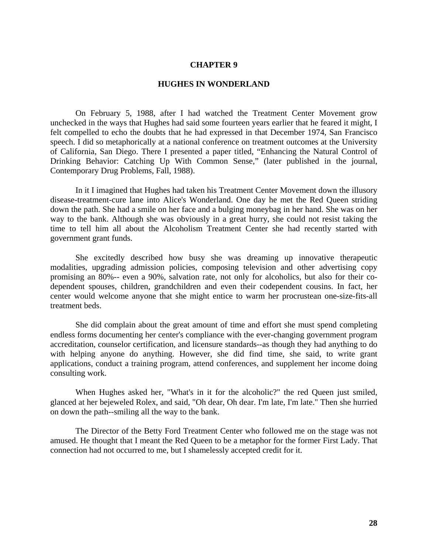### **HUGHES IN WONDERLAND**

On February 5, 1988, after I had watched the Treatment Center Movement grow unchecked in the ways that Hughes had said some fourteen years earlier that he feared it might, I felt compelled to echo the doubts that he had expressed in that December 1974, San Francisco speech. I did so metaphorically at a national conference on treatment outcomes at the University of California, San Diego. There I presented a paper titled, "Enhancing the Natural Control of Drinking Behavior: Catching Up With Common Sense," (later published in the journal, Contemporary Drug Problems, Fall, 1988).

In it I imagined that Hughes had taken his Treatment Center Movement down the illusory disease-treatment-cure lane into Alice's Wonderland. One day he met the Red Queen striding down the path. She had a smile on her face and a bulging moneybag in her hand. She was on her way to the bank. Although she was obviously in a great hurry, she could not resist taking the time to tell him all about the Alcoholism Treatment Center she had recently started with government grant funds.

She excitedly described how busy she was dreaming up innovative therapeutic modalities, upgrading admission policies, composing television and other advertising copy promising an 80%-- even a 90%, salvation rate, not only for alcoholics, but also for their codependent spouses, children, grandchildren and even their codependent cousins. In fact, her center would welcome anyone that she might entice to warm her procrustean one-size-fits-all treatment beds.

She did complain about the great amount of time and effort she must spend completing endless forms documenting her center's compliance with the ever-changing government program accreditation, counselor certification, and licensure standards--as though they had anything to do with helping anyone do anything. However, she did find time, she said, to write grant applications, conduct a training program, attend conferences, and supplement her income doing consulting work.

When Hughes asked her, "What's in it for the alcoholic?" the red Queen just smiled, glanced at her bejeweled Rolex, and said, "Oh dear, Oh dear. I'm late, I'm late." Then she hurried on down the path--smiling all the way to the bank.

The Director of the Betty Ford Treatment Center who followed me on the stage was not amused. He thought that I meant the Red Queen to be a metaphor for the former First Lady. That connection had not occurred to me, but I shamelessly accepted credit for it.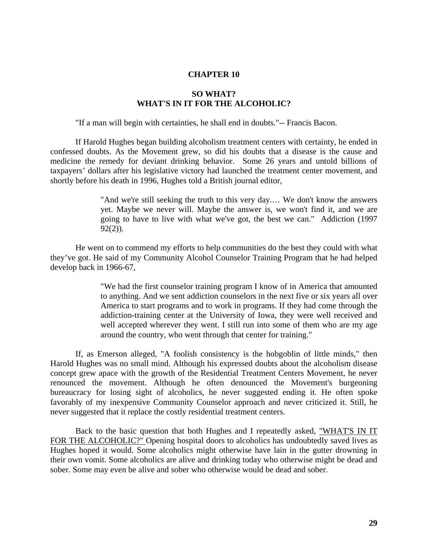## **SO WHAT? WHAT'S IN IT FOR THE ALCOHOLIC?**

"If a man will begin with certainties, he shall end in doubts."-- Francis Bacon.

If Harold Hughes began building alcoholism treatment centers with certainty, he ended in confessed doubts. As the Movement grew, so did his doubts that a disease is the cause and medicine the remedy for deviant drinking behavior. Some 26 years and untold billions of taxpayers' dollars after his legislative victory had launched the treatment center movement, and shortly before his death in 1996, Hughes told a British journal editor,

> "And we're still seeking the truth to this very day.… We don't know the answers yet. Maybe we never will. Maybe the answer is, we won't find it, and we are going to have to live with what we've got, the best we can." Addiction (1997 92(2)).

He went on to commend my efforts to help communities do the best they could with what they've got. He said of my Community Alcohol Counselor Training Program that he had helped develop back in 1966-67,

> "We had the first counselor training program I know of in America that amounted to anything. And we sent addiction counselors in the next five or six years all over America to start programs and to work in programs. If they had come through the addiction-training center at the University of Iowa, they were well received and well accepted wherever they went. I still run into some of them who are my age around the country, who went through that center for training."

If, as Emerson alleged, "A foolish consistency is the hobgoblin of little minds," then Harold Hughes was no small mind. Although his expressed doubts about the alcoholism disease concept grew apace with the growth of the Residential Treatment Centers Movement, he never renounced the movement. Although he often denounced the Movement's burgeoning bureaucracy for losing sight of alcoholics, he never suggested ending it. He often spoke favorably of my inexpensive Community Counselor approach and never criticized it. Still, he never suggested that it replace the costly residential treatment centers.

Back to the basic question that both Hughes and I repeatedly asked, "WHAT'S IN IT FOR THE ALCOHOLIC?" Opening hospital doors to alcoholics has undoubtedly saved lives as Hughes hoped it would. Some alcoholics might otherwise have lain in the gutter drowning in their own vomit. Some alcoholics are alive and drinking today who otherwise might be dead and sober. Some may even be alive and sober who otherwise would be dead and sober.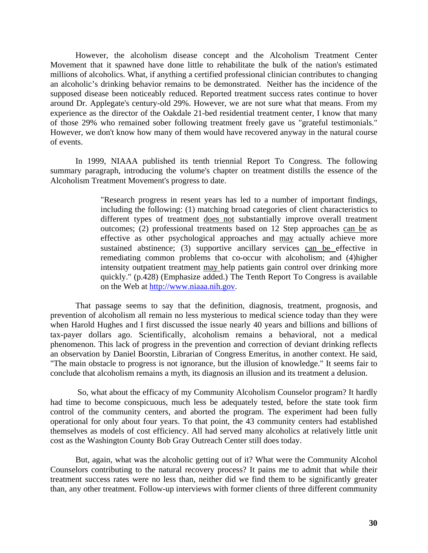However, the alcoholism disease concept and the Alcoholism Treatment Center Movement that it spawned have done little to rehabilitate the bulk of the nation's estimated millions of alcoholics. What, if anything a certified professional clinician contributes to changing an alcoholic's drinking behavior remains to be demonstrated. Neither has the incidence of the supposed disease been noticeably reduced. Reported treatment success rates continue to hover around Dr. Applegate's century-old 29%. However, we are not sure what that means. From my experience as the director of the Oakdale 21-bed residential treatment center, I know that many of those 29% who remained sober following treatment freely gave us "grateful testimonials." However, we don't know how many of them would have recovered anyway in the natural course of events.

In 1999, NIAAA published its tenth triennial Report To Congress. The following summary paragraph, introducing the volume's chapter on treatment distills the essence of the Alcoholism Treatment Movement's progress to date.

> "Research progress in resent years has led to a number of important findings, including the following: (1) matching broad categories of client characteristics to different types of treatment does not substantially improve overall treatment outcomes; (2) professional treatments based on 12 Step approaches can be as effective as other psychological approaches and may actually achieve more sustained abstinence; (3) supportive ancillary services can be effective in remediating common problems that co-occur with alcoholism; and (4)higher intensity outpatient treatment may help patients gain control over drinking more quickly." (p.428) (Emphasize added.) The Tenth Report To Congress is available on the Web at [http://www.niaaa.nih.gov](http://www.niaaa.nih.gov/).

That passage seems to say that the definition, diagnosis, treatment, prognosis, and prevention of alcoholism all remain no less mysterious to medical science today than they were when Harold Hughes and I first discussed the issue nearly 40 years and billions and billions of tax-payer dollars ago. Scientifically, alcoholism remains a behavioral, not a medical phenomenon. This lack of progress in the prevention and correction of deviant drinking reflects an observation by Daniel Boorstin, Librarian of Congress Emeritus, in another context. He said, "The main obstacle to progress is not ignorance, but the illusion of knowledge." It seems fair to conclude that alcoholism remains a myth, its diagnosis an illusion and its treatment a delusion.

 So, what about the efficacy of my Community Alcoholism Counselor program? It hardly had time to become conspicuous, much less be adequately tested, before the state took firm control of the community centers, and aborted the program. The experiment had been fully operational for only about four years. To that point, the 43 community centers had established themselves as models of cost efficiency. All had served many alcoholics at relatively little unit cost as the Washington County Bob Gray Outreach Center still does today.

But, again, what was the alcoholic getting out of it? What were the Community Alcohol Counselors contributing to the natural recovery process? It pains me to admit that while their treatment success rates were no less than, neither did we find them to be significantly greater than, any other treatment. Follow-up interviews with former clients of three different community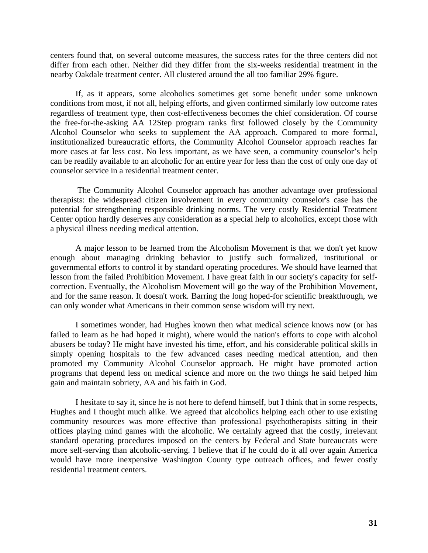centers found that, on several outcome measures, the success rates for the three centers did not differ from each other. Neither did they differ from the six-weeks residential treatment in the nearby Oakdale treatment center. All clustered around the all too familiar 29% figure.

If, as it appears, some alcoholics sometimes get some benefit under some unknown conditions from most, if not all, helping efforts, and given confirmed similarly low outcome rates regardless of treatment type, then cost-effectiveness becomes the chief consideration. Of course the free-for-the-asking AA 12Step program ranks first followed closely by the Community Alcohol Counselor who seeks to supplement the AA approach. Compared to more formal, institutionalized bureaucratic efforts, the Community Alcohol Counselor approach reaches far more cases at far less cost. No less important, as we have seen, a community counselor's help can be readily available to an alcoholic for an entire year for less than the cost of only one day of counselor service in a residential treatment center.

 The Community Alcohol Counselor approach has another advantage over professional therapists: the widespread citizen involvement in every community counselor's case has the potential for strengthening responsible drinking norms. The very costly Residential Treatment Center option hardly deserves any consideration as a special help to alcoholics, except those with a physical illness needing medical attention.

A major lesson to be learned from the Alcoholism Movement is that we don't yet know enough about managing drinking behavior to justify such formalized, institutional or governmental efforts to control it by standard operating procedures. We should have learned that lesson from the failed Prohibition Movement. I have great faith in our society's capacity for selfcorrection. Eventually, the Alcoholism Movement will go the way of the Prohibition Movement, and for the same reason. It doesn't work. Barring the long hoped-for scientific breakthrough, we can only wonder what Americans in their common sense wisdom will try next.

I sometimes wonder, had Hughes known then what medical science knows now (or has failed to learn as he had hoped it might), where would the nation's efforts to cope with alcohol abusers be today? He might have invested his time, effort, and his considerable political skills in simply opening hospitals to the few advanced cases needing medical attention, and then promoted my Community Alcohol Counselor approach. He might have promoted action programs that depend less on medical science and more on the two things he said helped him gain and maintain sobriety, AA and his faith in God.

I hesitate to say it, since he is not here to defend himself, but I think that in some respects, Hughes and I thought much alike. We agreed that alcoholics helping each other to use existing community resources was more effective than professional psychotherapists sitting in their offices playing mind games with the alcoholic. We certainly agreed that the costly, irrelevant standard operating procedures imposed on the centers by Federal and State bureaucrats were more self-serving than alcoholic-serving. I believe that if he could do it all over again America would have more inexpensive Washington County type outreach offices, and fewer costly residential treatment centers.